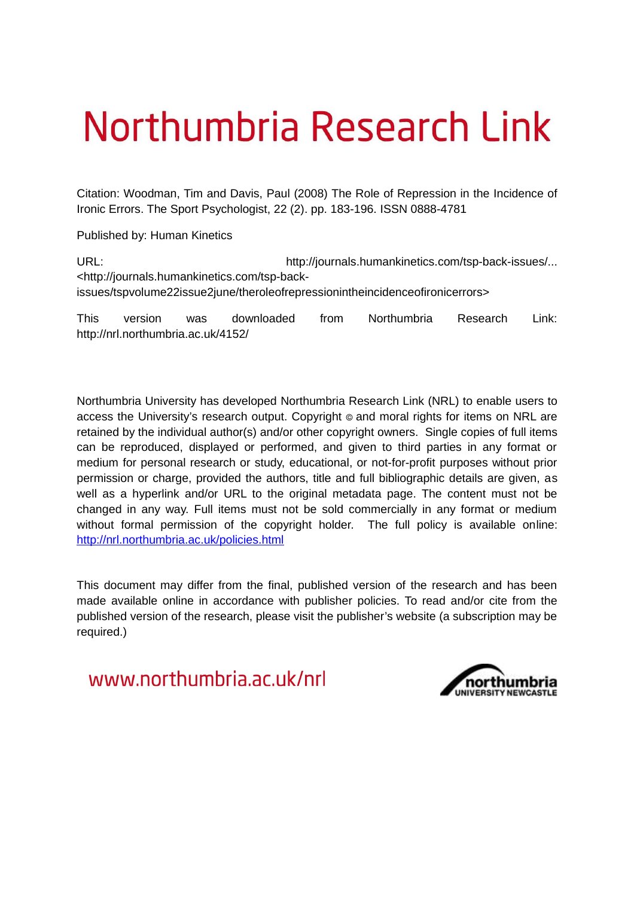# Northumbria Research Link

Citation: Woodman, Tim and Davis, Paul (2008) The Role of Repression in the Incidence of Ironic Errors. The Sport Psychologist, 22 (2). pp. 183-196. ISSN 0888-4781

Published by: Human Kinetics

URL: URL: http://journals.humankinetics.com/tsp-back-issues/... <http://journals.humankinetics.com/tsp-backissues/tspvolume22issue2june/theroleofrepressionintheincidenceofironicerrors>

This version was downloaded from Northumbria Research Link: http://nrl.northumbria.ac.uk/4152/

Northumbria University has developed Northumbria Research Link (NRL) to enable users to access the University's research output. Copyright  $\circ$  and moral rights for items on NRL are retained by the individual author(s) and/or other copyright owners. Single copies of full items can be reproduced, displayed or performed, and given to third parties in any format or medium for personal research or study, educational, or not-for-profit purposes without prior permission or charge, provided the authors, title and full bibliographic details are given, as well as a hyperlink and/or URL to the original metadata page. The content must not be changed in any way. Full items must not be sold commercially in any format or medium without formal permission of the copyright holder. The full policy is available online: <http://nrl.northumbria.ac.uk/policies.html>

This document may differ from the final, published version of the research and has been made available online in accordance with publisher policies. To read and/or cite from the published version of the research, please visit the publisher's website (a subscription may be required.)

www.northumbria.ac.uk/nrl

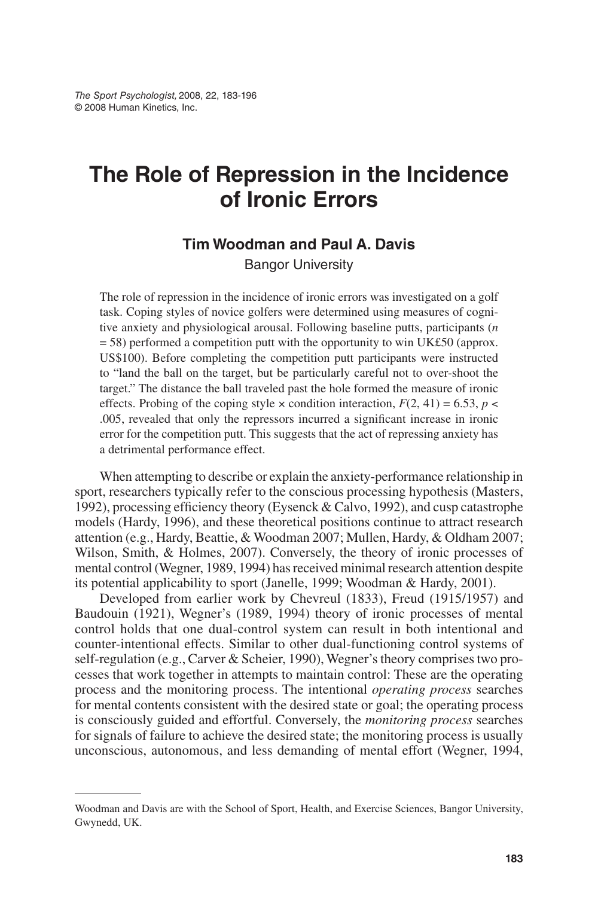# **The Role of Repression in the Incidence of Ironic Errors**

## **Tim Woodman and Paul A. Davis** Bangor University

The role of repression in the incidence of ironic errors was investigated on a golf task. Coping styles of novice golfers were determined using measures of cognitive anxiety and physiological arousal. Following baseline putts, participants (*n*  $=$  58) performed a competition putt with the opportunity to win UK£50 (approx. US\$100). Before completing the competition putt participants were instructed to "land the ball on the target, but be particularly careful not to over-shoot the target." The distance the ball traveled past the hole formed the measure of ironic effects. Probing of the coping style  $\times$  condition interaction,  $F(2, 41) = 6.53$ ,  $p \lt \text{ }$ .005, revealed that only the repressors incurred a significant increase in ironic error for the competition putt. This suggests that the act of repressing anxiety has a detrimental performance effect.

When attempting to describe or explain the anxiety-performance relationship in sport, researchers typically refer to the conscious processing hypothesis (Masters, 1992), processing efficiency theory (Eysenck & Calvo, 1992), and cusp catastrophe models (Hardy, 1996), and these theoretical positions continue to attract research attention (e.g., Hardy, Beattie, & Woodman 2007; Mullen, Hardy, & Oldham 2007; Wilson, Smith, & Holmes, 2007). Conversely, the theory of ironic processes of mental control (Wegner, 1989, 1994) has received minimal research attention despite its potential applicability to sport (Janelle, 1999; Woodman & Hardy, 2001).

Developed from earlier work by Chevreul (1833), Freud (1915/1957) and Baudouin (1921), Wegner's (1989, 1994) theory of ironic processes of mental control holds that one dual-control system can result in both intentional and counter-intentional effects. Similar to other dual-functioning control systems of self-regulation (e.g., Carver & Scheier, 1990), Wegner's theory comprises two processes that work together in attempts to maintain control: These are the operating process and the monitoring process. The intentional *operating process* searches for mental contents consistent with the desired state or goal; the operating process is consciously guided and effortful. Conversely, the *monitoring process* searches for signals of failure to achieve the desired state; the monitoring process is usually unconscious, autonomous, and less demanding of mental effort (Wegner, 1994,

Woodman and Davis are with the School of Sport, Health, and Exercise Sciences, Bangor University, Gwynedd, UK.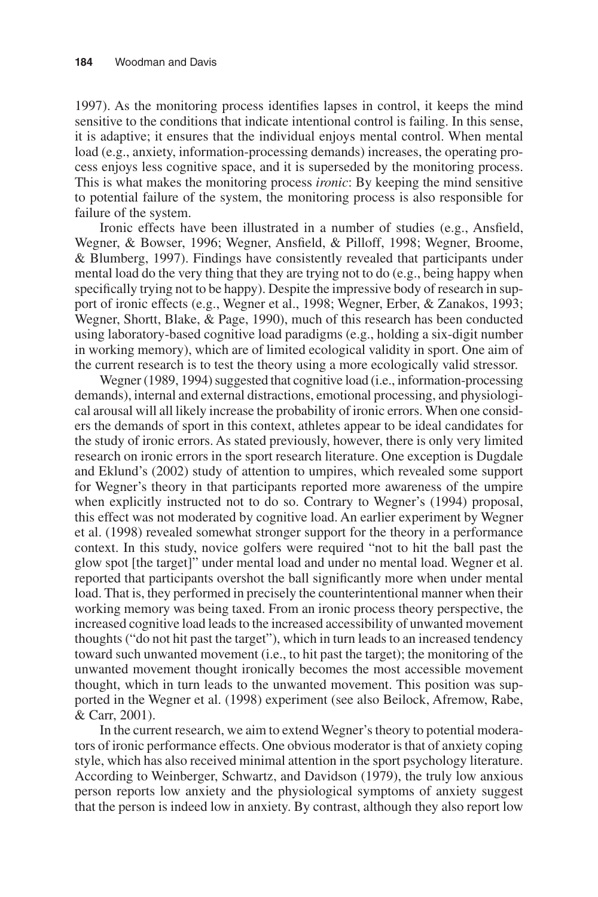1997). As the monitoring process identifies lapses in control, it keeps the mind sensitive to the conditions that indicate intentional control is failing. In this sense, it is adaptive; it ensures that the individual enjoys mental control. When mental load (e.g., anxiety, information-processing demands) increases, the operating process enjoys less cognitive space, and it is superseded by the monitoring process. This is what makes the monitoring process *ironic*: By keeping the mind sensitive to potential failure of the system, the monitoring process is also responsible for failure of the system.

Ironic effects have been illustrated in a number of studies (e.g., Ansfield, Wegner, & Bowser, 1996; Wegner, Ansfield, & Pilloff, 1998; Wegner, Broome, & Blumberg, 1997). Findings have consistently revealed that participants under mental load do the very thing that they are trying not to do (e.g., being happy when specifically trying not to be happy). Despite the impressive body of research in support of ironic effects (e.g., Wegner et al., 1998; Wegner, Erber, & Zanakos, 1993; Wegner, Shortt, Blake, & Page, 1990), much of this research has been conducted using laboratory-based cognitive load paradigms (e.g., holding a six-digit number in working memory), which are of limited ecological validity in sport. One aim of the current research is to test the theory using a more ecologically valid stressor.

Wegner (1989, 1994) suggested that cognitive load (i.e., information-processing demands), internal and external distractions, emotional processing, and physiological arousal will all likely increase the probability of ironic errors. When one considers the demands of sport in this context, athletes appear to be ideal candidates for the study of ironic errors. As stated previously, however, there is only very limited research on ironic errors in the sport research literature. One exception is Dugdale and Eklund's (2002) study of attention to umpires, which revealed some support for Wegner's theory in that participants reported more awareness of the umpire when explicitly instructed not to do so. Contrary to Wegner's (1994) proposal, this effect was not moderated by cognitive load. An earlier experiment by Wegner et al. (1998) revealed somewhat stronger support for the theory in a performance context. In this study, novice golfers were required "not to hit the ball past the glow spot [the target]" under mental load and under no mental load. Wegner et al. reported that participants overshot the ball significantly more when under mental load. That is, they performed in precisely the counterintentional manner when their working memory was being taxed. From an ironic process theory perspective, the increased cognitive load leads to the increased accessibility of unwanted movement thoughts ("do not hit past the target"), which in turn leads to an increased tendency toward such unwanted movement (i.e., to hit past the target); the monitoring of the unwanted movement thought ironically becomes the most accessible movement thought, which in turn leads to the unwanted movement. This position was supported in the Wegner et al. (1998) experiment (see also Beilock, Afremow, Rabe, & Carr, 2001).

In the current research, we aim to extend Wegner's theory to potential moderators of ironic performance effects. One obvious moderator is that of anxiety coping style, which has also received minimal attention in the sport psychology literature. According to Weinberger, Schwartz, and Davidson (1979), the truly low anxious person reports low anxiety and the physiological symptoms of anxiety suggest that the person is indeed low in anxiety. By contrast, although they also report low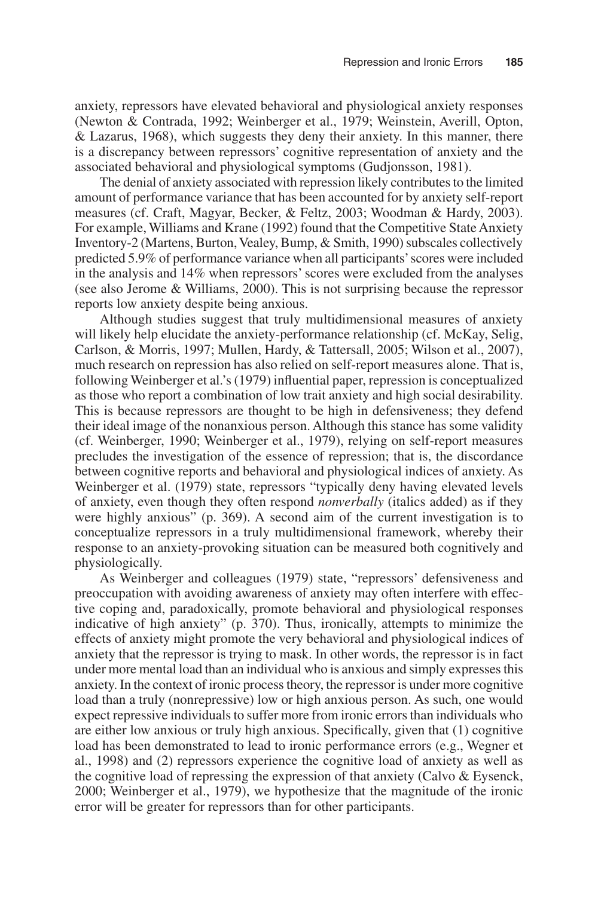anxiety, repressors have elevated behavioral and physiological anxiety responses (Newton & Contrada, 1992; Weinberger et al., 1979; Weinstein, Averill, Opton, & Lazarus, 1968), which suggests they deny their anxiety. In this manner, there is a discrepancy between repressors' cognitive representation of anxiety and the associated behavioral and physiological symptoms (Gudjonsson, 1981).

The denial of anxiety associated with repression likely contributes to the limited amount of performance variance that has been accounted for by anxiety self-report measures (cf. Craft, Magyar, Becker, & Feltz, 2003; Woodman & Hardy, 2003). For example, Williams and Krane (1992) found that the Competitive State Anxiety Inventory-2 (Martens, Burton, Vealey, Bump, & Smith, 1990) subscales collectively predicted 5.9% of performance variance when all participants' scores were included in the analysis and 14% when repressors' scores were excluded from the analyses (see also Jerome & Williams, 2000). This is not surprising because the repressor reports low anxiety despite being anxious.

Although studies suggest that truly multidimensional measures of anxiety will likely help elucidate the anxiety-performance relationship (cf. McKay, Selig, Carlson, & Morris, 1997; Mullen, Hardy, & Tattersall, 2005; Wilson et al., 2007), much research on repression has also relied on self-report measures alone. That is, following Weinberger et al.'s (1979) influential paper, repression is conceptualized as those who report a combination of low trait anxiety and high social desirability. This is because repressors are thought to be high in defensiveness; they defend their ideal image of the nonanxious person. Although this stance has some validity (cf. Weinberger, 1990; Weinberger et al., 1979), relying on self-report measures precludes the investigation of the essence of repression; that is, the discordance between cognitive reports and behavioral and physiological indices of anxiety. As Weinberger et al. (1979) state, repressors "typically deny having elevated levels of anxiety, even though they often respond *nonverbally* (italics added) as if they were highly anxious" (p. 369). A second aim of the current investigation is to conceptualize repressors in a truly multidimensional framework, whereby their response to an anxiety-provoking situation can be measured both cognitively and physiologically.

As Weinberger and colleagues (1979) state, "repressors' defensiveness and preoccupation with avoiding awareness of anxiety may often interfere with effective coping and, paradoxically, promote behavioral and physiological responses indicative of high anxiety" (p. 370). Thus, ironically, attempts to minimize the effects of anxiety might promote the very behavioral and physiological indices of anxiety that the repressor is trying to mask. In other words, the repressor is in fact under more mental load than an individual who is anxious and simply expresses this anxiety. In the context of ironic process theory, the repressor is under more cognitive load than a truly (nonrepressive) low or high anxious person. As such, one would expect repressive individuals to suffer more from ironic errors than individuals who are either low anxious or truly high anxious. Specifically, given that (1) cognitive load has been demonstrated to lead to ironic performance errors (e.g., Wegner et al., 1998) and (2) repressors experience the cognitive load of anxiety as well as the cognitive load of repressing the expression of that anxiety (Calvo & Eysenck, 2000; Weinberger et al., 1979), we hypothesize that the magnitude of the ironic error will be greater for repressors than for other participants.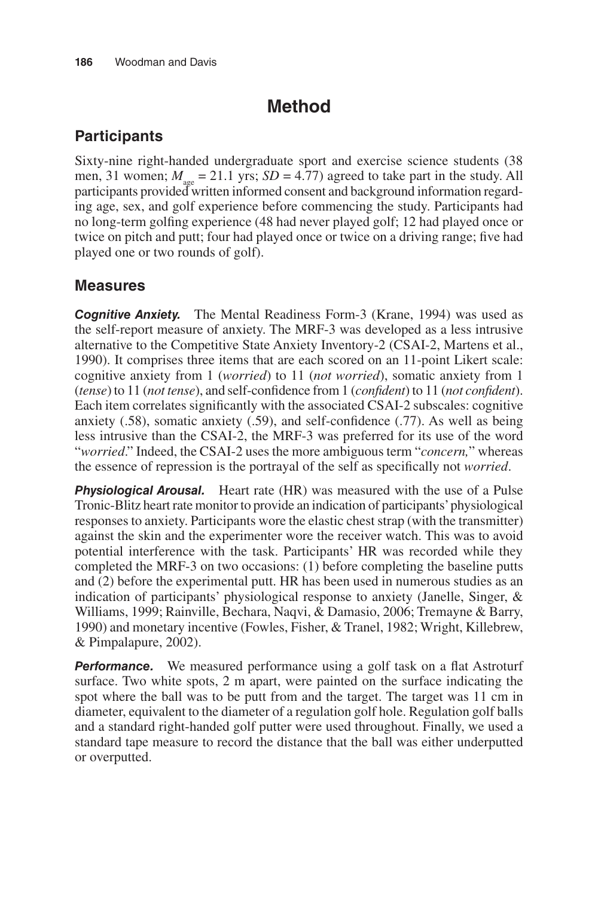# **Method**

# **Participants**

Sixty-nine right-handed undergraduate sport and exercise science students (38 men, 31 women;  $M_{\text{age}} = 21.1$  yrs;  $SD = 4.77$ ) agreed to take part in the study. All participants provided written informed consent and background information regarding age, sex, and golf experience before commencing the study. Participants had no long-term golfing experience (48 had never played golf; 12 had played once or twice on pitch and putt; four had played once or twice on a driving range; five had played one or two rounds of golf).

## **Measures**

**Cognitive Anxiety.** The Mental Readiness Form-3 (Krane, 1994) was used as the self-report measure of anxiety. The MRF-3 was developed as a less intrusive alternative to the Competitive State Anxiety Inventory-2 (CSAI-2, Martens et al., 1990). It comprises three items that are each scored on an 11-point Likert scale: cognitive anxiety from 1 (*worried*) to 11 (*not worried*), somatic anxiety from 1 (*tense*) to 11 (*not tense*), and self-confidence from 1 (*confident*) to 11 (*not confident*). Each item correlates significantly with the associated CSAI-2 subscales: cognitive anxiety (.58), somatic anxiety (.59), and self-confidence (.77). As well as being less intrusive than the CSAI-2, the MRF-3 was preferred for its use of the word "*worried*." Indeed, the CSAI-2 uses the more ambiguous term "*concern,*" whereas the essence of repression is the portrayal of the self as specifically not *worried*.

**Physiological Arousal.** Heart rate (HR) was measured with the use of a Pulse Tronic-Blitz heart rate monitor to provide an indication of participants' physiological responses to anxiety. Participants wore the elastic chest strap (with the transmitter) against the skin and the experimenter wore the receiver watch. This was to avoid potential interference with the task. Participants' HR was recorded while they completed the MRF-3 on two occasions: (1) before completing the baseline putts and (2) before the experimental putt. HR has been used in numerous studies as an indication of participants' physiological response to anxiety (Janelle, Singer, & Williams, 1999; Rainville, Bechara, Naqvi, & Damasio, 2006; Tremayne & Barry, 1990) and monetary incentive (Fowles, Fisher, & Tranel, 1982; Wright, Killebrew, & Pimpalapure, 2002).

**Performance.** We measured performance using a golf task on a flat Astroturf surface. Two white spots, 2 m apart, were painted on the surface indicating the spot where the ball was to be putt from and the target. The target was 11 cm in diameter, equivalent to the diameter of a regulation golf hole. Regulation golf balls and a standard right-handed golf putter were used throughout. Finally, we used a standard tape measure to record the distance that the ball was either underputted or overputted.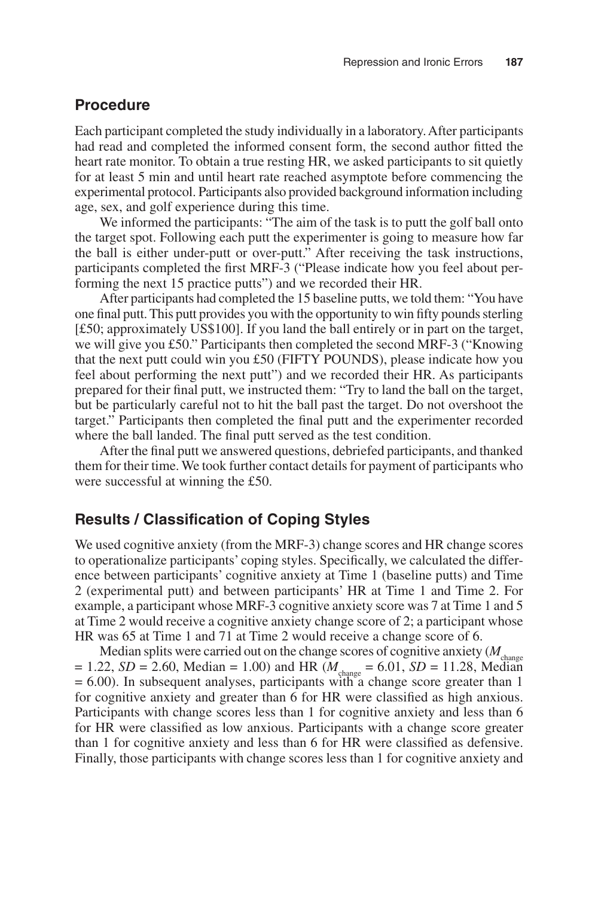#### **Procedure**

Each participant completed the study individually in a laboratory. After participants had read and completed the informed consent form, the second author fitted the heart rate monitor. To obtain a true resting HR, we asked participants to sit quietly for at least 5 min and until heart rate reached asymptote before commencing the experimental protocol. Participants also provided background information including age, sex, and golf experience during this time.

We informed the participants: "The aim of the task is to putt the golf ball onto the target spot. Following each putt the experimenter is going to measure how far the ball is either under-putt or over-putt." After receiving the task instructions, participants completed the first MRF-3 ("Please indicate how you feel about performing the next 15 practice putts") and we recorded their HR.

After participants had completed the 15 baseline putts, we told them: "You have one final putt. This putt provides you with the opportunity to win fifty pounds sterling [£50; approximately US\$100]. If you land the ball entirely or in part on the target, we will give you £50." Participants then completed the second MRF-3 ("Knowing that the next putt could win you £50 (FIFTY POUNDS), please indicate how you feel about performing the next putt") and we recorded their HR. As participants prepared for their final putt, we instructed them: "Try to land the ball on the target, but be particularly careful not to hit the ball past the target. Do not overshoot the target." Participants then completed the final putt and the experimenter recorded where the ball landed. The final putt served as the test condition.

After the final putt we answered questions, debriefed participants, and thanked them for their time. We took further contact details for payment of participants who were successful at winning the £50.

#### **Results / Classification of Coping Styles**

We used cognitive anxiety (from the MRF-3) change scores and HR change scores to operationalize participants' coping styles. Specifically, we calculated the difference between participants' cognitive anxiety at Time 1 (baseline putts) and Time 2 (experimental putt) and between participants' HR at Time 1 and Time 2. For example, a participant whose MRF-3 cognitive anxiety score was 7 at Time 1 and 5 at Time 2 would receive a cognitive anxiety change score of 2; a participant whose HR was 65 at Time 1 and 71 at Time 2 would receive a change score of 6.

Median splits were carried out on the change scores of cognitive anxiety  $(M_{\text{change}})$  $= 1.22$ , *SD* = 2.60, Median = 1.00) and HR ( $M_{\text{change}} = 6.01$ , *SD* = 11.28, Median  $= 6.00$ ). In subsequent analyses, participants with a change score greater than 1 for cognitive anxiety and greater than 6 for HR were classified as high anxious. Participants with change scores less than 1 for cognitive anxiety and less than 6 for HR were classified as low anxious. Participants with a change score greater than 1 for cognitive anxiety and less than 6 for HR were classified as defensive. Finally, those participants with change scores less than 1 for cognitive anxiety and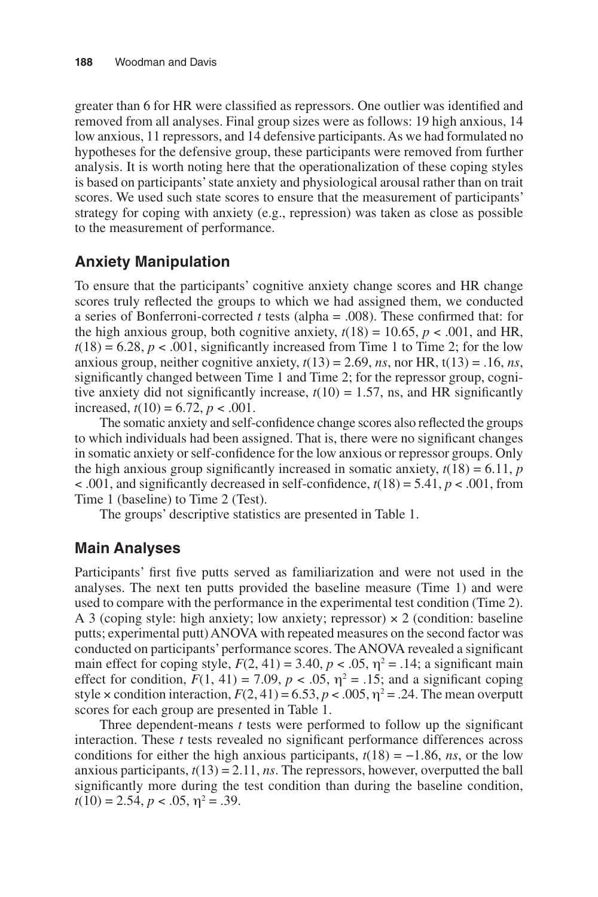greater than 6 for HR were classified as repressors. One outlier was identified and removed from all analyses. Final group sizes were as follows: 19 high anxious, 14 low anxious, 11 repressors, and 14 defensive participants. As we had formulated no hypotheses for the defensive group, these participants were removed from further analysis. It is worth noting here that the operationalization of these coping styles is based on participants' state anxiety and physiological arousal rather than on trait scores. We used such state scores to ensure that the measurement of participants' strategy for coping with anxiety (e.g., repression) was taken as close as possible to the measurement of performance.

### **Anxiety Manipulation**

To ensure that the participants' cognitive anxiety change scores and HR change scores truly reflected the groups to which we had assigned them, we conducted a series of Bonferroni-corrected *t* tests (alpha = .008). These confirmed that: for the high anxious group, both cognitive anxiety,  $t(18) = 10.65$ ,  $p < .001$ , and HR,  $t(18) = 6.28$ ,  $p < .001$ , significantly increased from Time 1 to Time 2; for the low anxious group, neither cognitive anxiety,  $t(13) = 2.69$ , *ns*, nor HR,  $t(13) = .16$ , *ns*, significantly changed between Time 1 and Time 2; for the repressor group, cognitive anxiety did not significantly increase,  $t(10) = 1.57$ , ns, and HR significantly increased,  $t(10) = 6.72$ ,  $p < .001$ .

The somatic anxiety and self-confidence change scores also reflected the groups to which individuals had been assigned. That is, there were no significant changes in somatic anxiety or self-confidence for the low anxious or repressor groups. Only the high anxious group significantly increased in somatic anxiety,  $t(18) = 6.11$ , *p* < .001, and significantly decreased in self-confidence, *t*(18) = 5.41, *p* < .001, from Time 1 (baseline) to Time 2 (Test).

The groups' descriptive statistics are presented in Table 1.

#### **Main Analyses**

Participants' first five putts served as familiarization and were not used in the analyses. The next ten putts provided the baseline measure (Time 1) and were used to compare with the performance in the experimental test condition (Time 2). A 3 (coping style: high anxiety; low anxiety; repressor)  $\times$  2 (condition: baseline putts; experimental putt) ANOVA with repeated measures on the second factor was conducted on participants' performance scores. The ANOVA revealed a significant main effect for coping style,  $F(2, 41) = 3.40$ ,  $p < .05$ ,  $\eta^2 = .14$ ; a significant main effect for condition,  $F(1, 41) = 7.09$ ,  $p < .05$ ,  $\eta^2 = .15$ ; and a significant coping style  $\times$  condition interaction,  $F(2, 41) = 6.53$ ,  $p < .005$ ,  $\eta^2 = .24$ . The mean overputt scores for each group are presented in Table 1.

Three dependent-means *t* tests were performed to follow up the significant interaction. These *t* tests revealed no significant performance differences across conditions for either the high anxious participants,  $t(18) = -1.86$ , *ns*, or the low anxious participants,  $t(13) = 2.11$ , *ns*. The repressors, however, overputted the ball significantly more during the test condition than during the baseline condition,  $t(10) = 2.54, p < .05, \eta^2 = .39.$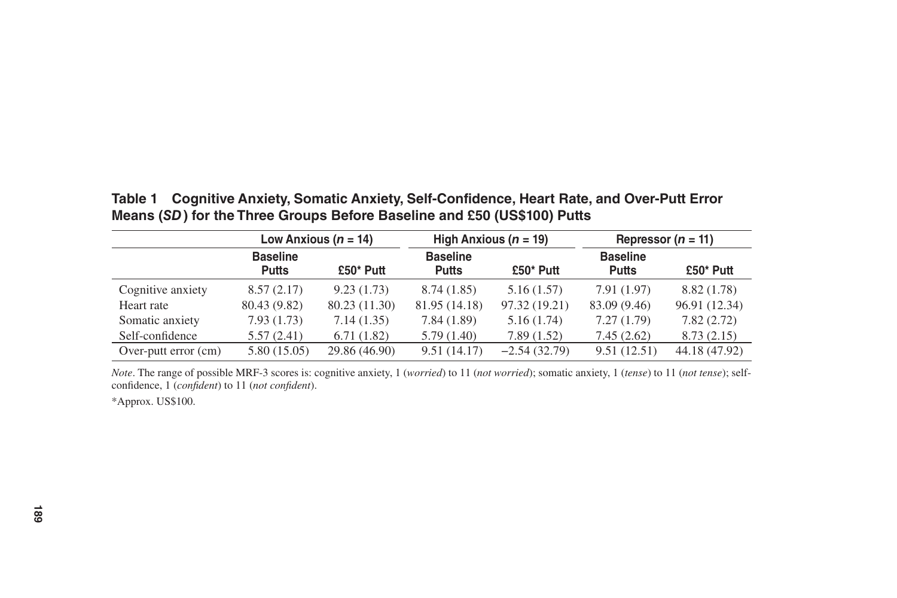|                      | Low Anxious ( $n = 14$ )        |               | High Anxious $(n = 19)$         |                | Repressor $(n = 11)$            |               |
|----------------------|---------------------------------|---------------|---------------------------------|----------------|---------------------------------|---------------|
|                      | <b>Baseline</b><br><b>Putts</b> | £50* Putt     | <b>Baseline</b><br><b>Putts</b> | £50* Putt      | <b>Baseline</b><br><b>Putts</b> | £50* Putt     |
| Cognitive anxiety    | 8.57(2.17)                      | 9.23(1.73)    | 8.74(1.85)                      | 5.16(1.57)     | 7.91 (1.97)                     | 8.82 (1.78)   |
| Heart rate           | 80.43 (9.82)                    | 80.23 (11.30) | 81.95 (14.18)                   | 97.32 (19.21)  | 83.09 (9.46)                    | 96.91 (12.34) |
| Somatic anxiety      | 7.93(1.73)                      | 7.14(1.35)    | 7.84(1.89)                      | 5.16(1.74)     | 7.27(1.79)                      | 7.82(2.72)    |
| Self-confidence      | 5.57(2.41)                      | 6.71(1.82)    | 5.79(1.40)                      | 7.89(1.52)     | 7.45(2.62)                      | 8.73(2.15)    |
| Over-putt error (cm) | 5.80 (15.05)                    | 29.86 (46.90) | 9.51(14.17)                     | $-2.54(32.79)$ | 9.51(12.51)                     | 44.18 (47.92) |

**Table 1 Cognitive Anxiety, Somatic Anxiety, Self-Confidence, Heart Rate, and Over-Putt Error Means (SD ) for the Three Groups Before Baseline and £50 (US\$100) Putts**

*Note*. The range of possible MRF-3 scores is: cognitive anxiety, 1 (*worried*) to 11 (*not worried*); somatic anxiety, 1 (*tense*) to 11 (*not tense*); selfconfidence, 1 (*confident*) to 11 (*not confident*).

\*Approx. US\$100.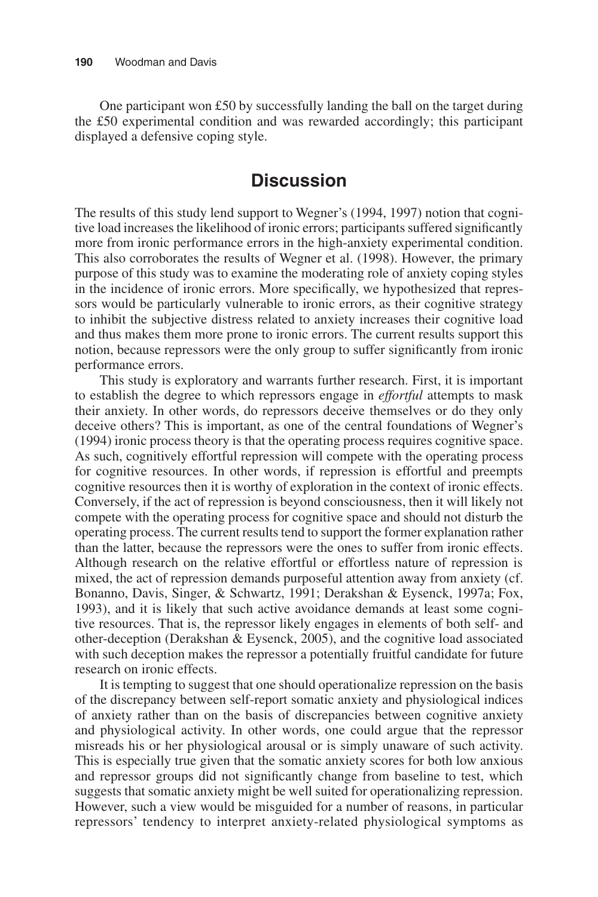One participant won £50 by successfully landing the ball on the target during the £50 experimental condition and was rewarded accordingly; this participant displayed a defensive coping style.

# **Discussion**

The results of this study lend support to Wegner's (1994, 1997) notion that cognitive load increases the likelihood of ironic errors; participants suffered significantly more from ironic performance errors in the high-anxiety experimental condition. This also corroborates the results of Wegner et al. (1998). However, the primary purpose of this study was to examine the moderating role of anxiety coping styles in the incidence of ironic errors. More specifically, we hypothesized that repressors would be particularly vulnerable to ironic errors, as their cognitive strategy to inhibit the subjective distress related to anxiety increases their cognitive load and thus makes them more prone to ironic errors. The current results support this notion, because repressors were the only group to suffer significantly from ironic performance errors.

This study is exploratory and warrants further research. First, it is important to establish the degree to which repressors engage in *effortful* attempts to mask their anxiety. In other words, do repressors deceive themselves or do they only deceive others? This is important, as one of the central foundations of Wegner's (1994) ironic process theory is that the operating process requires cognitive space. As such, cognitively effortful repression will compete with the operating process for cognitive resources. In other words, if repression is effortful and preempts cognitive resources then it is worthy of exploration in the context of ironic effects. Conversely, if the act of repression is beyond consciousness, then it will likely not compete with the operating process for cognitive space and should not disturb the operating process. The current results tend to support the former explanation rather than the latter, because the repressors were the ones to suffer from ironic effects. Although research on the relative effortful or effortless nature of repression is mixed, the act of repression demands purposeful attention away from anxiety (cf. Bonanno, Davis, Singer, & Schwartz, 1991; Derakshan & Eysenck, 1997a; Fox, 1993), and it is likely that such active avoidance demands at least some cognitive resources. That is, the repressor likely engages in elements of both self- and other-deception (Derakshan & Eysenck, 2005), and the cognitive load associated with such deception makes the repressor a potentially fruitful candidate for future research on ironic effects.

It is tempting to suggest that one should operationalize repression on the basis of the discrepancy between self-report somatic anxiety and physiological indices of anxiety rather than on the basis of discrepancies between cognitive anxiety and physiological activity. In other words, one could argue that the repressor misreads his or her physiological arousal or is simply unaware of such activity. This is especially true given that the somatic anxiety scores for both low anxious and repressor groups did not significantly change from baseline to test, which suggests that somatic anxiety might be well suited for operationalizing repression. However, such a view would be misguided for a number of reasons, in particular repressors' tendency to interpret anxiety-related physiological symptoms as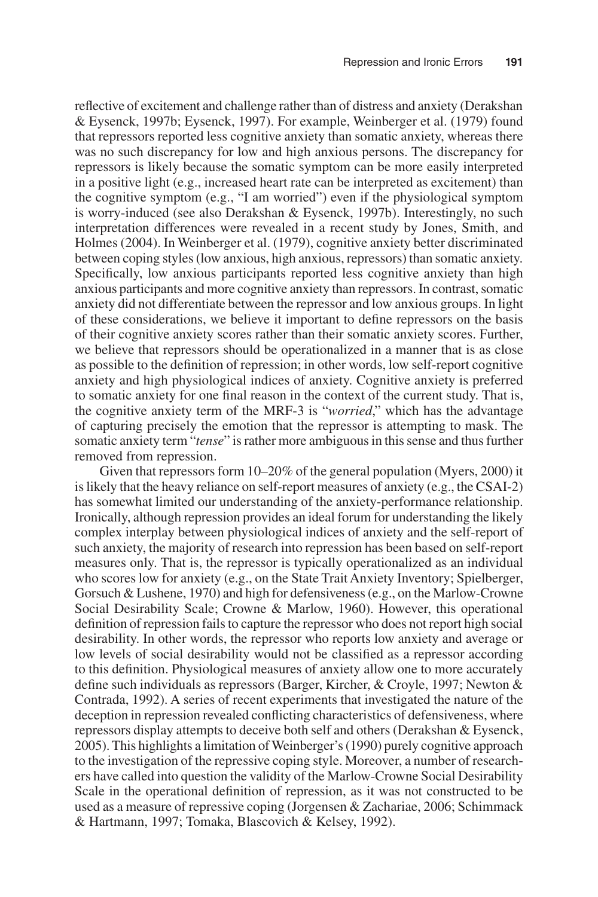reflective of excitement and challenge rather than of distress and anxiety (Derakshan & Eysenck, 1997b; Eysenck, 1997). For example, Weinberger et al. (1979) found that repressors reported less cognitive anxiety than somatic anxiety, whereas there was no such discrepancy for low and high anxious persons. The discrepancy for repressors is likely because the somatic symptom can be more easily interpreted in a positive light (e.g., increased heart rate can be interpreted as excitement) than the cognitive symptom (e.g., "I am worried") even if the physiological symptom is worry-induced (see also Derakshan & Eysenck, 1997b). Interestingly, no such interpretation differences were revealed in a recent study by Jones, Smith, and Holmes (2004). In Weinberger et al. (1979), cognitive anxiety better discriminated between coping styles (low anxious, high anxious, repressors) than somatic anxiety. Specifically, low anxious participants reported less cognitive anxiety than high anxious participants and more cognitive anxiety than repressors. In contrast, somatic anxiety did not differentiate between the repressor and low anxious groups. In light of these considerations, we believe it important to define repressors on the basis of their cognitive anxiety scores rather than their somatic anxiety scores. Further, we believe that repressors should be operationalized in a manner that is as close as possible to the definition of repression; in other words, low self-report cognitive anxiety and high physiological indices of anxiety. Cognitive anxiety is preferred to somatic anxiety for one final reason in the context of the current study. That is, the cognitive anxiety term of the MRF-3 is "*worried*," which has the advantage of capturing precisely the emotion that the repressor is attempting to mask. The somatic anxiety term "*tense*" is rather more ambiguous in this sense and thus further removed from repression.

Given that repressors form 10–20% of the general population (Myers, 2000) it is likely that the heavy reliance on self-report measures of anxiety (e.g., the CSAI-2) has somewhat limited our understanding of the anxiety-performance relationship. Ironically, although repression provides an ideal forum for understanding the likely complex interplay between physiological indices of anxiety and the self-report of such anxiety, the majority of research into repression has been based on self-report measures only. That is, the repressor is typically operationalized as an individual who scores low for anxiety (e.g., on the State Trait Anxiety Inventory; Spielberger, Gorsuch & Lushene, 1970) and high for defensiveness (e.g., on the Marlow-Crowne Social Desirability Scale; Crowne & Marlow, 1960). However, this operational definition of repression fails to capture the repressor who does not report high social desirability. In other words, the repressor who reports low anxiety and average or low levels of social desirability would not be classified as a repressor according to this definition. Physiological measures of anxiety allow one to more accurately define such individuals as repressors (Barger, Kircher, & Croyle, 1997; Newton & Contrada, 1992). A series of recent experiments that investigated the nature of the deception in repression revealed conflicting characteristics of defensiveness, where repressors display attempts to deceive both self and others (Derakshan & Eysenck, 2005). This highlights a limitation of Weinberger's (1990) purely cognitive approach to the investigation of the repressive coping style. Moreover, a number of researchers have called into question the validity of the Marlow-Crowne Social Desirability Scale in the operational definition of repression, as it was not constructed to be used as a measure of repressive coping (Jorgensen & Zachariae, 2006; Schimmack & Hartmann, 1997; Tomaka, Blascovich & Kelsey, 1992).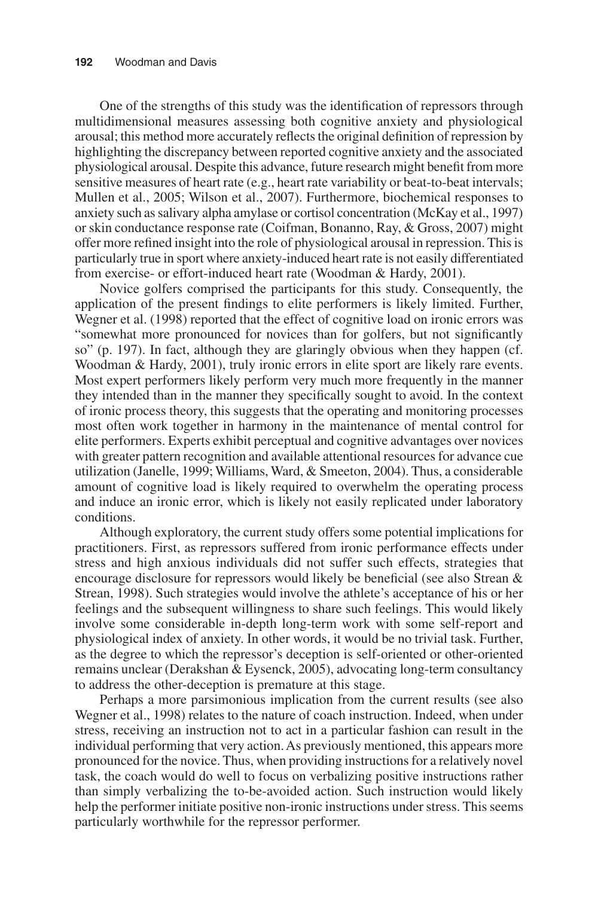One of the strengths of this study was the identification of repressors through multidimensional measures assessing both cognitive anxiety and physiological arousal; this method more accurately reflects the original definition of repression by highlighting the discrepancy between reported cognitive anxiety and the associated physiological arousal. Despite this advance, future research might benefit from more sensitive measures of heart rate (e.g., heart rate variability or beat-to-beat intervals; Mullen et al., 2005; Wilson et al., 2007). Furthermore, biochemical responses to anxiety such as salivary alpha amylase or cortisol concentration (McKay et al., 1997) or skin conductance response rate (Coifman, Bonanno, Ray, & Gross, 2007) might offer more refined insight into the role of physiological arousal in repression. This is particularly true in sport where anxiety-induced heart rate is not easily differentiated from exercise- or effort-induced heart rate (Woodman & Hardy, 2001).

Novice golfers comprised the participants for this study. Consequently, the application of the present findings to elite performers is likely limited. Further, Wegner et al. (1998) reported that the effect of cognitive load on ironic errors was "somewhat more pronounced for novices than for golfers, but not significantly so" (p. 197). In fact, although they are glaringly obvious when they happen (cf. Woodman & Hardy, 2001), truly ironic errors in elite sport are likely rare events. Most expert performers likely perform very much more frequently in the manner they intended than in the manner they specifically sought to avoid. In the context of ironic process theory, this suggests that the operating and monitoring processes most often work together in harmony in the maintenance of mental control for elite performers. Experts exhibit perceptual and cognitive advantages over novices with greater pattern recognition and available attentional resources for advance cue utilization (Janelle, 1999; Williams, Ward, & Smeeton, 2004). Thus, a considerable amount of cognitive load is likely required to overwhelm the operating process and induce an ironic error, which is likely not easily replicated under laboratory conditions.

Although exploratory, the current study offers some potential implications for practitioners. First, as repressors suffered from ironic performance effects under stress and high anxious individuals did not suffer such effects, strategies that encourage disclosure for repressors would likely be beneficial (see also Strean & Strean, 1998). Such strategies would involve the athlete's acceptance of his or her feelings and the subsequent willingness to share such feelings. This would likely involve some considerable in-depth long-term work with some self-report and physiological index of anxiety. In other words, it would be no trivial task. Further, as the degree to which the repressor's deception is self-oriented or other-oriented remains unclear (Derakshan & Eysenck, 2005), advocating long-term consultancy to address the other-deception is premature at this stage.

Perhaps a more parsimonious implication from the current results (see also Wegner et al., 1998) relates to the nature of coach instruction. Indeed, when under stress, receiving an instruction not to act in a particular fashion can result in the individual performing that very action. As previously mentioned, this appears more pronounced for the novice. Thus, when providing instructions for a relatively novel task, the coach would do well to focus on verbalizing positive instructions rather than simply verbalizing the to-be-avoided action. Such instruction would likely help the performer initiate positive non-ironic instructions under stress. This seems particularly worthwhile for the repressor performer.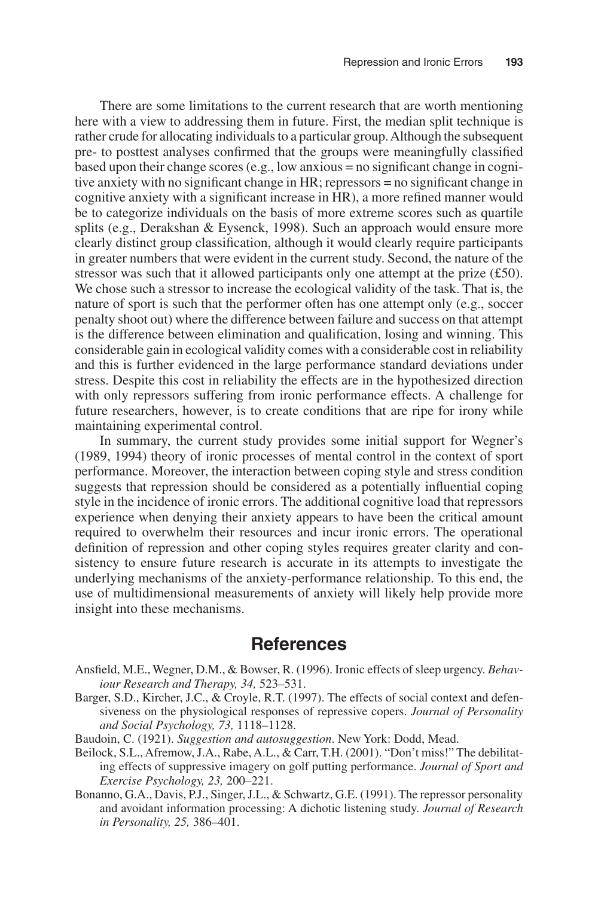There are some limitations to the current research that are worth mentioning here with a view to addressing them in future. First, the median split technique is rather crude for allocating individuals to a particular group. Although the subsequent pre- to posttest analyses confirmed that the groups were meaningfully classified based upon their change scores (e.g., low anxious  $=$  no significant change in cognitive anxiety with no significant change in HR; repressors = no significant change in cognitive anxiety with a significant increase in HR), a more refined manner would be to categorize individuals on the basis of more extreme scores such as quartile splits (e.g., Derakshan & Eysenck, 1998). Such an approach would ensure more clearly distinct group classification, although it would clearly require participants in greater numbers that were evident in the current study. Second, the nature of the stressor was such that it allowed participants only one attempt at the prize (£50). We chose such a stressor to increase the ecological validity of the task. That is, the nature of sport is such that the performer often has one attempt only (e.g., soccer penalty shoot out) where the difference between failure and success on that attempt is the difference between elimination and qualification, losing and winning. This considerable gain in ecological validity comes with a considerable cost in reliability and this is further evidenced in the large performance standard deviations under stress. Despite this cost in reliability the effects are in the hypothesized direction with only repressors suffering from ironic performance effects. A challenge for future researchers, however, is to create conditions that are ripe for irony while maintaining experimental control.

In summary, the current study provides some initial support for Wegner's (1989, 1994) theory of ironic processes of mental control in the context of sport performance. Moreover, the interaction between coping style and stress condition suggests that repression should be considered as a potentially influential coping style in the incidence of ironic errors. The additional cognitive load that repressors experience when denying their anxiety appears to have been the critical amount required to overwhelm their resources and incur ironic errors. The operational definition of repression and other coping styles requires greater clarity and consistency to ensure future research is accurate in its attempts to investigate the underlying mechanisms of the anxiety-performance relationship. To this end, the use of multidimensional measurements of anxiety will likely help provide more insight into these mechanisms.

#### **References**

- Ansfield, M.E., Wegner, D.M., & Bowser, R. (1996). Ironic effects of sleep urgency. *Behaviour Research and Therapy, 34,* 523–531.
- Barger, S.D., Kircher, J.C., & Croyle, R.T. (1997). The effects of social context and defensiveness on the physiological responses of repressive copers. *Journal of Personality and Social Psychology, 73,* 1118–1128.
- Baudoin, C. (1921). *Suggestion and autosuggestion*. New York: Dodd, Mead.
- Beilock, S.L., Afremow, J.A., Rabe, A.L., & Carr, T.H. (2001). "Don't miss!" The debilitating effects of suppressive imagery on golf putting performance. *Journal of Sport and Exercise Psychology, 23,* 200–221.
- Bonanno, G.A., Davis, P.J., Singer, J.L., & Schwartz, G.E. (1991). The repressor personality and avoidant information processing: A dichotic listening study. *Journal of Research in Personality, 25,* 386–401.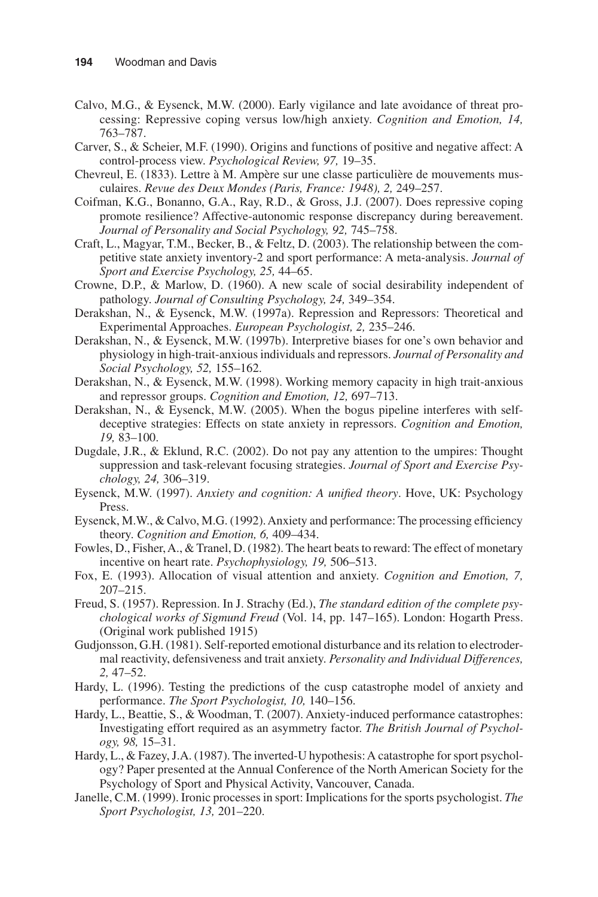- Calvo, M.G., & Eysenck, M.W. (2000). Early vigilance and late avoidance of threat processing: Repressive coping versus low/high anxiety. *Cognition and Emotion, 14,* 763–787.
- Carver, S., & Scheier, M.F. (1990). Origins and functions of positive and negative affect: A control-process view. *Psychological Review, 97,* 19–35.
- Chevreul, E. (1833). Lettre à M. Ampère sur une classe particulière de mouvements musculaires. *Revue des Deux Mondes (Paris, France: 1948), 2,* 249–257.
- Coifman, K.G., Bonanno, G.A., Ray, R.D., & Gross, J.J. (2007). Does repressive coping promote resilience? Affective-autonomic response discrepancy during bereavement. *Journal of Personality and Social Psychology, 92,* 745–758.
- Craft, L., Magyar, T.M., Becker, B., & Feltz, D. (2003). The relationship between the competitive state anxiety inventory-2 and sport performance: A meta-analysis. *Journal of Sport and Exercise Psychology, 25,* 44–65.
- Crowne, D.P., & Marlow, D. (1960). A new scale of social desirability independent of pathology. *Journal of Consulting Psychology, 24,* 349–354.
- Derakshan, N., & Eysenck, M.W. (1997a). Repression and Repressors: Theoretical and Experimental Approaches. *European Psychologist, 2,* 235–246.
- Derakshan, N., & Eysenck, M.W. (1997b). Interpretive biases for one's own behavior and physiology in high-trait-anxious individuals and repressors. *Journal of Personality and Social Psychology, 52,* 155–162.
- Derakshan, N., & Eysenck, M.W. (1998). Working memory capacity in high trait-anxious and repressor groups. *Cognition and Emotion, 12,* 697–713.
- Derakshan, N., & Eysenck, M.W. (2005). When the bogus pipeline interferes with selfdeceptive strategies: Effects on state anxiety in repressors. *Cognition and Emotion, 19,* 83–100.
- Dugdale, J.R., & Eklund, R.C. (2002). Do not pay any attention to the umpires: Thought suppression and task-relevant focusing strategies. *Journal of Sport and Exercise Psychology, 24,* 306–319.
- Eysenck, M.W. (1997). *Anxiety and cognition: A unified theory*. Hove, UK: Psychology Press.
- Eysenck, M.W., & Calvo, M.G. (1992). Anxiety and performance: The processing efficiency theory. *Cognition and Emotion, 6,* 409–434.
- Fowles, D., Fisher, A., & Tranel, D. (1982). The heart beats to reward: The effect of monetary incentive on heart rate. *Psychophysiology, 19,* 506–513.
- Fox, E. (1993). Allocation of visual attention and anxiety. *Cognition and Emotion, 7,* 207–215.
- Freud, S. (1957). Repression. In J. Strachy (Ed.), *The standard edition of the complete psychological works of Sigmund Freud* (Vol. 14, pp. 147–165). London: Hogarth Press. (Original work published 1915)
- Gudjonsson, G.H. (1981). Self-reported emotional disturbance and its relation to electrodermal reactivity, defensiveness and trait anxiety. *Personality and Individual Differences, 2,* 47–52.
- Hardy, L. (1996). Testing the predictions of the cusp catastrophe model of anxiety and performance. *The Sport Psychologist, 10,* 140–156.
- Hardy, L., Beattie, S., & Woodman, T. (2007). Anxiety-induced performance catastrophes: Investigating effort required as an asymmetry factor. *The British Journal of Psychology, 98,* 15–31.
- Hardy, L., & Fazey, J.A. (1987). The inverted-U hypothesis: A catastrophe for sport psychology? Paper presented at the Annual Conference of the North American Society for the Psychology of Sport and Physical Activity, Vancouver, Canada.
- Janelle, C.M. (1999). Ironic processes in sport: Implications for the sports psychologist. *The Sport Psychologist, 13,* 201–220.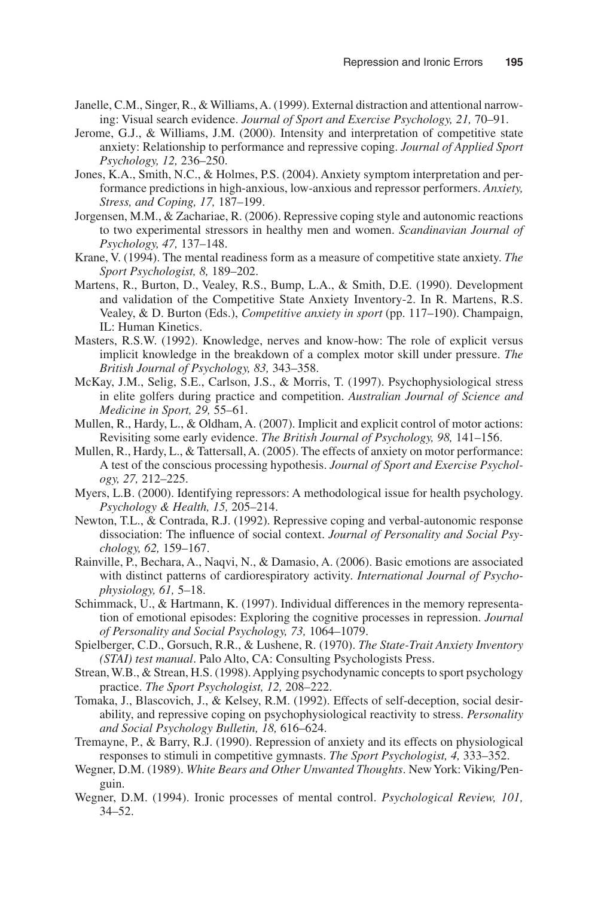- Janelle, C.M., Singer, R., & Williams, A. (1999). External distraction and attentional narrowing: Visual search evidence. *Journal of Sport and Exercise Psychology, 21,* 70–91.
- Jerome, G.J., & Williams, J.M. (2000). Intensity and interpretation of competitive state anxiety: Relationship to performance and repressive coping. *Journal of Applied Sport Psychology, 12,* 236–250.
- Jones, K.A., Smith, N.C., & Holmes, P.S. (2004). Anxiety symptom interpretation and performance predictions in high-anxious, low-anxious and repressor performers. *Anxiety, Stress, and Coping, 17,* 187–199.
- Jorgensen, M.M., & Zachariae, R. (2006). Repressive coping style and autonomic reactions to two experimental stressors in healthy men and women. *Scandinavian Journal of Psychology, 47,* 137–148.
- Krane, V. (1994). The mental readiness form as a measure of competitive state anxiety. *The Sport Psychologist, 8,* 189–202.
- Martens, R., Burton, D., Vealey, R.S., Bump, L.A., & Smith, D.E. (1990). Development and validation of the Competitive State Anxiety Inventory-2. In R. Martens, R.S. Vealey, & D. Burton (Eds.), *Competitive anxiety in sport* (pp. 117–190). Champaign, IL: Human Kinetics.
- Masters, R.S.W. (1992). Knowledge, nerves and know-how: The role of explicit versus implicit knowledge in the breakdown of a complex motor skill under pressure. *The British Journal of Psychology, 83,* 343–358.
- McKay, J.M., Selig, S.E., Carlson, J.S., & Morris, T. (1997). Psychophysiological stress in elite golfers during practice and competition. *Australian Journal of Science and Medicine in Sport, 29,* 55–61.
- Mullen, R., Hardy, L., & Oldham, A. (2007). Implicit and explicit control of motor actions: Revisiting some early evidence. *The British Journal of Psychology, 98,* 141–156.
- Mullen, R., Hardy, L., & Tattersall, A. (2005). The effects of anxiety on motor performance: A test of the conscious processing hypothesis. *Journal of Sport and Exercise Psychology, 27,* 212–225.
- Myers, L.B. (2000). Identifying repressors: A methodological issue for health psychology. *Psychology & Health, 15,* 205–214.
- Newton, T.L., & Contrada, R.J. (1992). Repressive coping and verbal-autonomic response dissociation: The influence of social context. *Journal of Personality and Social Psychology, 62,* 159–167.
- Rainville, P., Bechara, A., Naqvi, N., & Damasio, A. (2006). Basic emotions are associated with distinct patterns of cardiorespiratory activity. *International Journal of Psychophysiology, 61,* 5–18.
- Schimmack, U., & Hartmann, K. (1997). Individual differences in the memory representation of emotional episodes: Exploring the cognitive processes in repression. *Journal of Personality and Social Psychology, 73,* 1064–1079.
- Spielberger, C.D., Gorsuch, R.R., & Lushene, R. (1970). *The State-Trait Anxiety Inventory (STAI) test manual*. Palo Alto, CA: Consulting Psychologists Press.
- Strean, W.B., & Strean, H.S. (1998). Applying psychodynamic concepts to sport psychology practice. *The Sport Psychologist, 12,* 208–222.
- Tomaka, J., Blascovich, J., & Kelsey, R.M. (1992). Effects of self-deception, social desirability, and repressive coping on psychophysiological reactivity to stress. *Personality and Social Psychology Bulletin, 18,* 616–624.
- Tremayne, P., & Barry, R.J. (1990). Repression of anxiety and its effects on physiological responses to stimuli in competitive gymnasts. *The Sport Psychologist, 4,* 333–352.
- Wegner, D.M. (1989). *White Bears and Other Unwanted Thoughts*. New York: Viking/Penguin.
- Wegner, D.M. (1994). Ironic processes of mental control. *Psychological Review, 101,* 34–52.